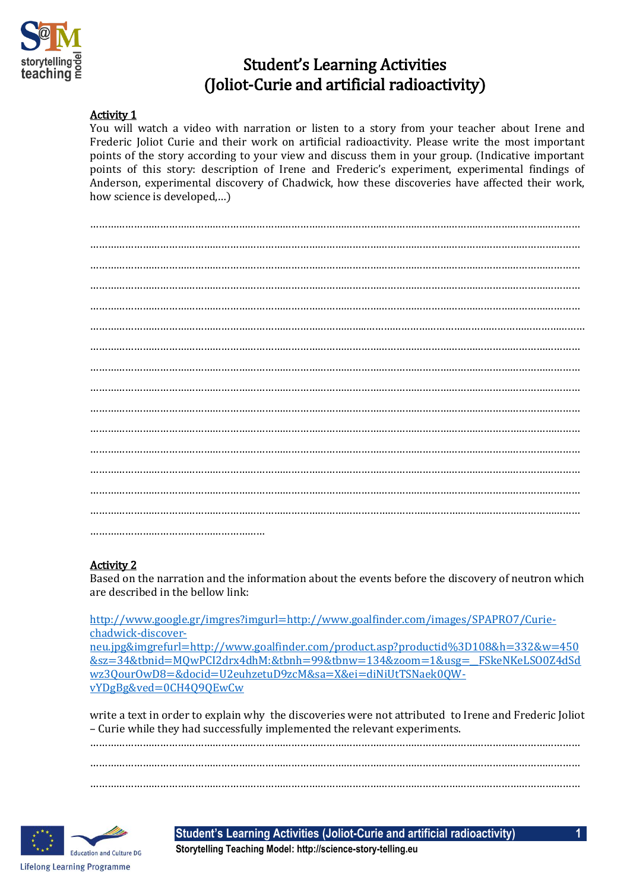

# Student's Learning Activities (Joliot-Curie and artificial radioactivity)

# Activity 1

You will watch a video with narration or listen to a story from your teacher about Irene and Frederic Joliot Curie and their work on artificial radioactivity. Please write the most important points of the story according to your view and discuss them in your group. (Indicative important points of this story: description of Irene and Frederic's experiment, experimental findings of Anderson, experimental discovery of Chadwick, how these discoveries have affected their work, how science is developed,…)

…………………………………………………………………………………………………………………………………………………… …………………………………………………………………………………………………………………………………………………… …………………………………………………………………………………………………………………………………………………… …………………………………………………………………………………………………………………………………………………… …………………………………………………………………………………………………………………………………………………… …………………………………………………………………………………..………………………………………………………………… …………………………………………………………………………………………………………………………………………………… …………………………………………………………………………………………………………………………………………………… …………………………………………………………………………………………………………………………………………………… …………………………………………………………………………………………………………………………………………………… …………………………………………………………………………………………………………………………………………………… …………………………………………………………………………………………………………………………………………………… …………………………………………………………………………………………………………………………………………………… …………………………………………………………………………………………………………………………………………………… …………………………………………………………………………………………………………………………………………………… ……………………………………………………

# Activity 2

Based on the narration and the information about the events before the discovery of neutron which are described in the bellow link:

[http://www.google.gr/imgres?imgurl=http://www.goalfinder.com/images/SPAPRO7/Curie](http://www.google.gr/imgres?imgurl=http://www.goalfinder.com/images/SPAPRO7/Curie-chadwick-discover-neu.jpg&imgrefurl=http://www.goalfinder.com/product.asp?productid%3D108&h=332&w=450&sz=34&tbnid=MQwPCI2drx4dhM:&tbnh=99&tbnw=134&zoom=1&usg=__FSkeNKeLSO0Z4dSdwz3QourOwD8=&docid=U2euhzetuD9zcM&sa=X&ei=diNiUtTSNaek0QW-vYDgBg&ved=0CH4Q9QEwCw)[chadwick-discover](http://www.google.gr/imgres?imgurl=http://www.goalfinder.com/images/SPAPRO7/Curie-chadwick-discover-neu.jpg&imgrefurl=http://www.goalfinder.com/product.asp?productid%3D108&h=332&w=450&sz=34&tbnid=MQwPCI2drx4dhM:&tbnh=99&tbnw=134&zoom=1&usg=__FSkeNKeLSO0Z4dSdwz3QourOwD8=&docid=U2euhzetuD9zcM&sa=X&ei=diNiUtTSNaek0QW-vYDgBg&ved=0CH4Q9QEwCw)[neu.jpg&imgrefurl=http://www.goalfinder.com/product.asp?productid%3D108&h=332&w=450](http://www.google.gr/imgres?imgurl=http://www.goalfinder.com/images/SPAPRO7/Curie-chadwick-discover-neu.jpg&imgrefurl=http://www.goalfinder.com/product.asp?productid%3D108&h=332&w=450&sz=34&tbnid=MQwPCI2drx4dhM:&tbnh=99&tbnw=134&zoom=1&usg=__FSkeNKeLSO0Z4dSdwz3QourOwD8=&docid=U2euhzetuD9zcM&sa=X&ei=diNiUtTSNaek0QW-vYDgBg&ved=0CH4Q9QEwCw) [&sz=34&tbnid=MQwPCI2drx4dhM:&tbnh=99&tbnw=134&zoom=1&usg=\\_\\_FSkeNKeLSO0Z4dSd](http://www.google.gr/imgres?imgurl=http://www.goalfinder.com/images/SPAPRO7/Curie-chadwick-discover-neu.jpg&imgrefurl=http://www.goalfinder.com/product.asp?productid%3D108&h=332&w=450&sz=34&tbnid=MQwPCI2drx4dhM:&tbnh=99&tbnw=134&zoom=1&usg=__FSkeNKeLSO0Z4dSdwz3QourOwD8=&docid=U2euhzetuD9zcM&sa=X&ei=diNiUtTSNaek0QW-vYDgBg&ved=0CH4Q9QEwCw) [wz3QourOwD8=&docid=U2euhzetuD9zcM&sa=X&ei=diNiUtTSNaek0QW](http://www.google.gr/imgres?imgurl=http://www.goalfinder.com/images/SPAPRO7/Curie-chadwick-discover-neu.jpg&imgrefurl=http://www.goalfinder.com/product.asp?productid%3D108&h=332&w=450&sz=34&tbnid=MQwPCI2drx4dhM:&tbnh=99&tbnw=134&zoom=1&usg=__FSkeNKeLSO0Z4dSdwz3QourOwD8=&docid=U2euhzetuD9zcM&sa=X&ei=diNiUtTSNaek0QW-vYDgBg&ved=0CH4Q9QEwCw)[vYDgBg&ved=0CH4Q9QEwCw](http://www.google.gr/imgres?imgurl=http://www.goalfinder.com/images/SPAPRO7/Curie-chadwick-discover-neu.jpg&imgrefurl=http://www.goalfinder.com/product.asp?productid%3D108&h=332&w=450&sz=34&tbnid=MQwPCI2drx4dhM:&tbnh=99&tbnw=134&zoom=1&usg=__FSkeNKeLSO0Z4dSdwz3QourOwD8=&docid=U2euhzetuD9zcM&sa=X&ei=diNiUtTSNaek0QW-vYDgBg&ved=0CH4Q9QEwCw)

write a text in order to explain why the discoveries were not attributed to Irene and Frederic Joliot – Curie while they had successfully implemented the relevant experiments.

…………………………………………………………………………………………………………………………………………………… …………………………………………………………………………………………………………………………………………………… ……………………………………………………………………………………………………………………………………………………



**Student's Learning Activities (Joliot-Curie and artificial radioactivity) 1**

**Storytelling Teaching Model: http://science-story-telling.eu**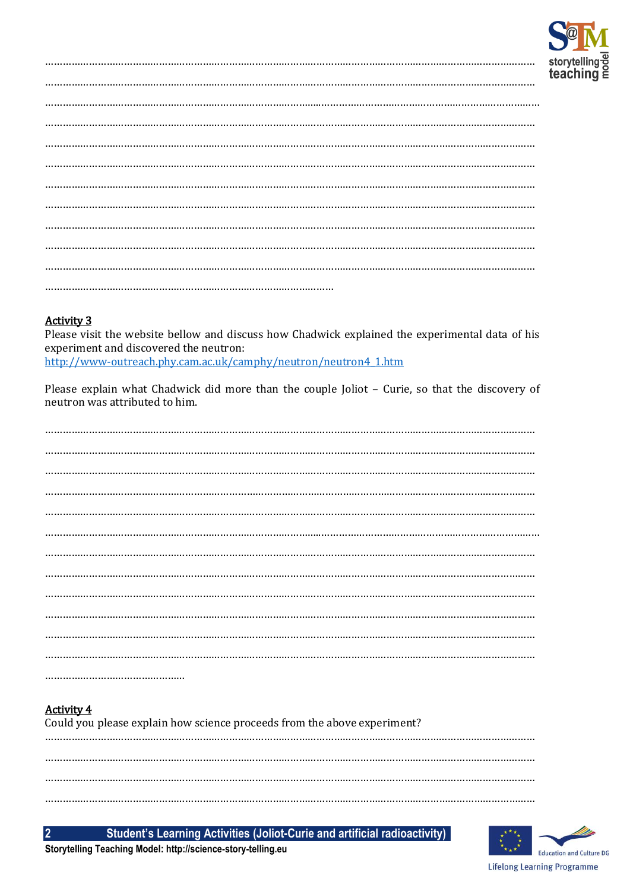

### **Activity 3**

Please visit the website bellow and discuss how Chadwick explained the experimental data of his experiment and discovered the neutron:

http://www-outreach.phy.cam.ac.uk/camphy/neutron/neutron4\_1.htm

Please explain what Chadwick did more than the couple Joliot - Curie, so that the discovery of neutron was attributed to him.

#### **Activity 4**  $111.$

 $\overline{2}$ 

| Could you please explain how science proceeds from the above experiment? |  |  |  |  |  |  |  |
|--------------------------------------------------------------------------|--|--|--|--|--|--|--|
|                                                                          |  |  |  |  |  |  |  |
|                                                                          |  |  |  |  |  |  |  |
|                                                                          |  |  |  |  |  |  |  |

Student's Learning Activities (Joliot-Curie and artificial radioactivity)



Storytelling Teaching Model: http://science-story-telling.eu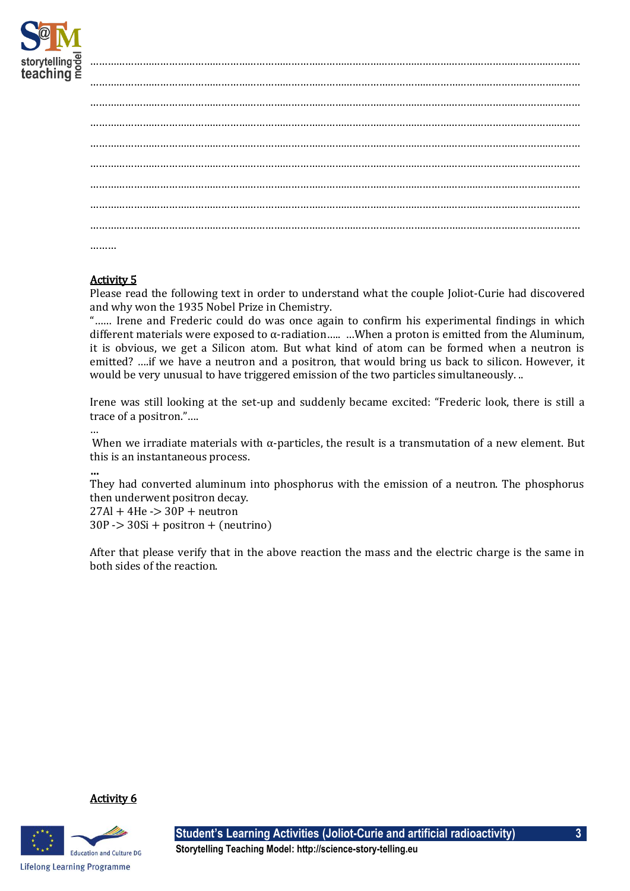

# Activity 5

Please read the following text in order to understand what the couple Joliot-Curie had discovered and why won the 1935 Nobel Prize in Chemistry.

"…… Irene and Frederic could do was once again to confirm his experimental findings in which different materials were exposed to  $\alpha$ -radiation..... ...When a proton is emitted from the Aluminum, it is obvious, we get a Silicon atom. But what kind of atom can be formed when a neutron is emitted? ….if we have a neutron and a positron, that would bring us back to silicon. However, it would be very unusual to have triggered emission of the two particles simultaneously. ..

Irene was still looking at the set-up and suddenly became excited: "Frederic look, there is still a trace of a positron."….

…

When we irradiate materials with  $\alpha$ -particles, the result is a transmutation of a new element. But this is an instantaneous process.

…

They had converted aluminum into phosphorus with the emission of a neutron. The phosphorus then underwent positron decay.

 $27Al + 4He$  - $> 30P +$  neutron  $30P \geq 30Si + positron + (neutrino)$ 

After that please verify that in the above reaction the mass and the electric charge is the same in both sides of the reaction.





**Student's Learning Activities (Joliot-Curie and artificial radioactivity) 3**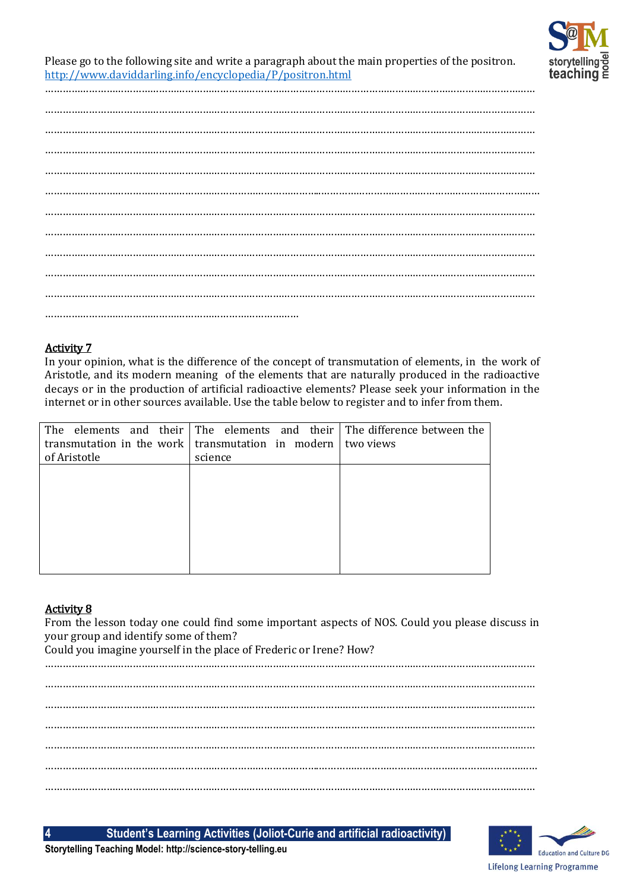

Please go to the following site and write a paragraph about the main properties of the positron. <http://www.daviddarling.info/encyclopedia/P/positron.html>

……………………………………………………………………………………………………………………………………………………

# Activity 7

In your opinion, what is the difference of the concept of transmutation of elements, in the work of Aristotle, and its modern meaning of the elements that are naturally produced in the radioactive decays or in the production of artificial radioactive elements? Please seek your information in the internet or in other sources available. Use the table below to register and to infer from them.

| science |                                                                                                                                                 |
|---------|-------------------------------------------------------------------------------------------------------------------------------------------------|
|         |                                                                                                                                                 |
|         |                                                                                                                                                 |
|         |                                                                                                                                                 |
|         |                                                                                                                                                 |
|         |                                                                                                                                                 |
|         |                                                                                                                                                 |
|         |                                                                                                                                                 |
|         |                                                                                                                                                 |
|         | The elements and their The elements and their The difference between the<br>transmutation in the work transmutation in modern $\vert$ two views |

### Activity 8

From the lesson today one could find some important aspects of NOS. Could you please discuss in your group and identify some of them?

Could you imagine yourself in the place of Frederic or Irene? How?

**4 Student's Learning Activities (Joliot-Curie and artificial radioactivity)**